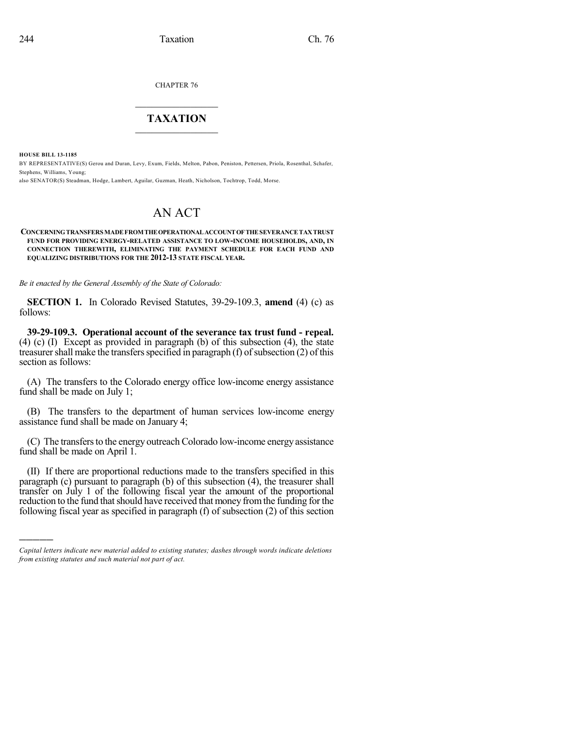CHAPTER 76

## $\mathcal{L}_\text{max}$  . The set of the set of the set of the set of the set of the set of the set of the set of the set of the set of the set of the set of the set of the set of the set of the set of the set of the set of the set **TAXATION**  $\_$

**HOUSE BILL 13-1185**

)))))

BY REPRESENTATIVE(S) Gerou and Duran, Levy, Exum, Fields, Melton, Pabon, Peniston, Pettersen, Priola, Rosenthal, Schafer, Stephens, Williams, Young;

also SENATOR(S) Steadman, Hodge, Lambert, Aguilar, Guzman, Heath, Nicholson, Tochtrop, Todd, Morse.

## AN ACT

## **CONCERNINGTRANSFERS MADE FROM THEOPERATIONALACCOUNTOFTHESEVERANCE TAXTRUST FUND FOR PROVIDING ENERGY-RELATED ASSISTANCE TO LOW-INCOME HOUSEHOLDS, AND, IN CONNECTION THEREWITH, ELIMINATING THE PAYMENT SCHEDULE FOR EACH FUND AND EQUALIZING DISTRIBUTIONS FOR THE 2012-13 STATE FISCAL YEAR.**

*Be it enacted by the General Assembly of the State of Colorado:*

**SECTION 1.** In Colorado Revised Statutes, 39-29-109.3, **amend** (4) (c) as follows:

**39-29-109.3. Operational account of the severance tax trust fund - repeal.** (4) (c) (I) Except as provided in paragraph (b) of this subsection (4), the state treasurer shall make the transfers specified in paragraph  $(f)$  of subsection  $(2)$  of this section as follows:

(A) The transfers to the Colorado energy office low-income energy assistance fund shall be made on July 1;

(B) The transfers to the department of human services low-income energy assistance fund shall be made on January 4;

(C) The transfers to the energy outreach Colorado low-income energy assistance fund shall be made on April 1.

(II) If there are proportional reductions made to the transfers specified in this paragraph (c) pursuant to paragraph (b) of this subsection (4), the treasurer shall transfer on July 1 of the following fiscal year the amount of the proportional reduction to the fund that should have received that money from the funding for the following fiscal year as specified in paragraph (f) of subsection (2) of this section

*Capital letters indicate new material added to existing statutes; dashes through words indicate deletions from existing statutes and such material not part of act.*